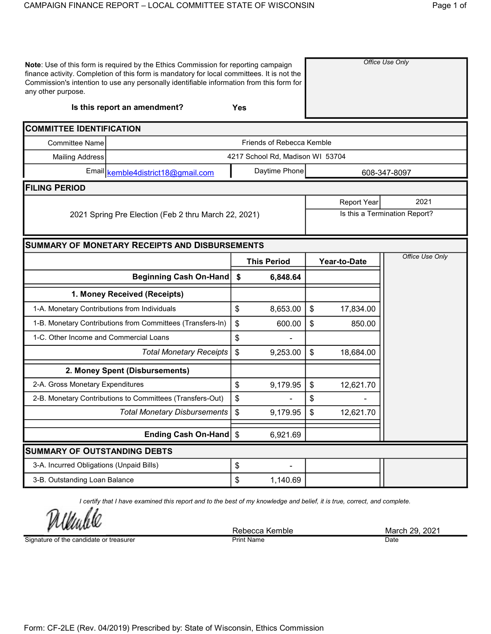| any other purpose.                           | Note: Use of this form is required by the Ethics Commission for reporting campaign<br>finance activity. Completion of this form is mandatory for local committees. It is not the<br>Commission's intention to use any personally identifiable information from this form for |            |                                  |                            |              | Office Use Only               |  |  |
|----------------------------------------------|------------------------------------------------------------------------------------------------------------------------------------------------------------------------------------------------------------------------------------------------------------------------------|------------|----------------------------------|----------------------------|--------------|-------------------------------|--|--|
|                                              | Is this report an amendment?                                                                                                                                                                                                                                                 | <b>Yes</b> |                                  |                            |              |                               |  |  |
| <b>COMMITTEE IDENTIFICATION</b>              |                                                                                                                                                                                                                                                                              |            |                                  |                            |              |                               |  |  |
| <b>Committee Name</b>                        |                                                                                                                                                                                                                                                                              |            | Friends of Rebecca Kemble        |                            |              |                               |  |  |
| <b>Mailing Address</b>                       |                                                                                                                                                                                                                                                                              |            | 4217 School Rd, Madison WI 53704 |                            |              |                               |  |  |
|                                              | Email kemble4district18@gmail.com                                                                                                                                                                                                                                            |            | Daytime Phone                    |                            |              | 608-347-8097                  |  |  |
| <b>FILING PERIOD</b>                         |                                                                                                                                                                                                                                                                              |            |                                  |                            |              |                               |  |  |
|                                              |                                                                                                                                                                                                                                                                              |            |                                  | 2021<br><b>Report Year</b> |              |                               |  |  |
|                                              | 2021 Spring Pre Election (Feb 2 thru March 22, 2021)                                                                                                                                                                                                                         |            |                                  |                            |              | Is this a Termination Report? |  |  |
|                                              | <b>SUMMARY OF MONETARY RECEIPTS AND DISBURSEMENTS</b>                                                                                                                                                                                                                        |            |                                  |                            |              |                               |  |  |
|                                              |                                                                                                                                                                                                                                                                              |            | <b>This Period</b>               |                            | Year-to-Date | Office Use Only               |  |  |
|                                              | Beginning Cash On-Hand                                                                                                                                                                                                                                                       | \$         | 6,848.64                         |                            |              |                               |  |  |
|                                              | 1. Money Received (Receipts)                                                                                                                                                                                                                                                 |            |                                  |                            |              |                               |  |  |
| 1-A. Monetary Contributions from Individuals |                                                                                                                                                                                                                                                                              | \$         | 8,653.00                         | \$                         | 17,834.00    |                               |  |  |
|                                              | 1-B. Monetary Contributions from Committees (Transfers-In)                                                                                                                                                                                                                   | \$         | 600.00                           | \$                         | 850.00       |                               |  |  |
| 1-C. Other Income and Commercial Loans       |                                                                                                                                                                                                                                                                              | \$         |                                  |                            |              |                               |  |  |
|                                              | <b>Total Monetary Receipts</b>                                                                                                                                                                                                                                               | \$         | 9,253.00                         | \$                         | 18,684.00    |                               |  |  |
|                                              | 2. Money Spent (Disbursements)                                                                                                                                                                                                                                               |            |                                  |                            |              |                               |  |  |
| 2-A. Gross Monetary Expenditures             |                                                                                                                                                                                                                                                                              | \$         | 9,179.95                         | \$                         | 12,621.70    |                               |  |  |
|                                              | 2-B. Monetary Contributions to Committees (Transfers-Out)                                                                                                                                                                                                                    | \$         |                                  | \$                         |              |                               |  |  |
|                                              | Total Monetary Disbursements                                                                                                                                                                                                                                                 | \$         | 9,179.95                         | \$                         | 12,621.70    |                               |  |  |
|                                              | Ending Cash On-Hand \$                                                                                                                                                                                                                                                       |            | 6,921.69                         |                            |              |                               |  |  |
| <b>SUMMARY OF OUTSTANDING DEBTS</b>          |                                                                                                                                                                                                                                                                              |            |                                  |                            |              |                               |  |  |
| 3-A. Incurred Obligations (Unpaid Bills)     |                                                                                                                                                                                                                                                                              | \$         |                                  |                            |              |                               |  |  |
| 3-B. Outstanding Loan Balance                |                                                                                                                                                                                                                                                                              | \$         | 1,140.69                         |                            |              |                               |  |  |

I certify that I have examined this report and to the best of my knowledge and belief, it is true, correct, and complete.

Unhl

Signature of the candidate or treasurer

Rebecca Kemble March 29, 2021<br>
Print Name Date Date **Print Name**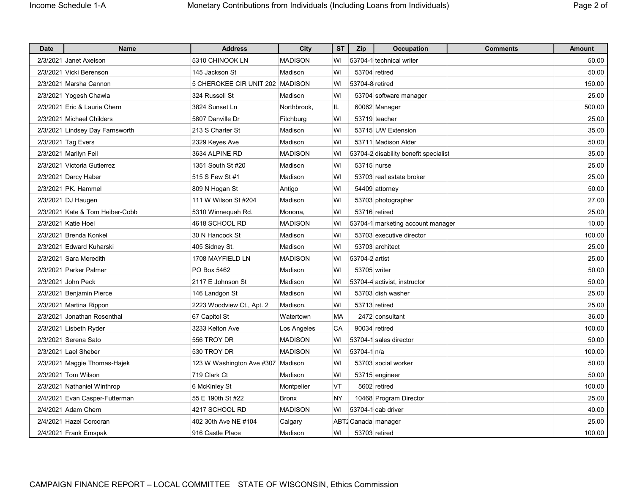| <b>Date</b> | <b>Name</b>                     | <b>Address</b>                    | City           | <b>ST</b> | Zip             | Occupation                            | <b>Comments</b> | <b>Amount</b> |
|-------------|---------------------------------|-----------------------------------|----------------|-----------|-----------------|---------------------------------------|-----------------|---------------|
|             | 2/3/2021 Janet Axelson          | 5310 CHINOOK LN                   | <b>MADISON</b> | W١        |                 | 53704-1 technical writer              |                 | 50.00         |
|             | 2/3/2021 Vicki Berenson         | 145 Jackson St                    | Madison        | WI        |                 | 53704 retired                         |                 | 50.00         |
|             | 2/3/2021 Marsha Cannon          | 5 CHEROKEE CIR UNIT 202 MADISON   |                | WI        | 53704-8 retired |                                       |                 | 150.00        |
|             | 2/3/2021 Yogesh Chawla          | 324 Russell St                    | Madison        | WI        |                 | 53704 software manager                |                 | 25.00         |
|             | 2/3/2021 Eric & Laurie Chern    | 3824 Sunset Ln                    | Northbrook,    | IL        |                 | 60062 Manager                         |                 | 500.00        |
|             | 2/3/2021 Michael Childers       | 5807 Danville Dr                  | Fitchburg      | WI        |                 | 53719 teacher                         |                 | 25.00         |
|             | 2/3/2021 Lindsey Day Farnsworth | 213 S Charter St                  | Madison        | WI        |                 | 53715 UW Extension                    |                 | 35.00         |
|             | 2/3/2021 Tag Evers              | 2329 Keyes Ave                    | Madison        | WI        |                 | 53711 Madison Alder                   |                 | 50.00         |
|             | 2/3/2021 Marilyn Feil           | 3634 ALPINE RD                    | <b>MADISON</b> | WI        |                 | 53704-2 disability benefit specialist |                 | 35.00         |
|             | 2/3/2021   Victoria Gutierrez   | 1351 South St #20                 | Madison        | WI        | 53715 nurse     |                                       |                 | 25.00         |
|             | 2/3/2021 Darcy Haber            | 515 S Few St #1                   | Madison        | WI        |                 | 53703 real estate broker              |                 | 25.00         |
|             | 2/3/2021 PK. Hammel             | 809 N Hogan St                    | Antigo         | WI        |                 | 54409 attorney                        |                 | 50.00         |
|             | 2/3/2021 DJ Haugen              | 111 W Wilson St #204              | Madison        | WI        |                 | 53703 photographer                    |                 | 27.00         |
|             | 2/3/2021 Kate & Tom Heiber-Cobb | 5310 Winnequah Rd.                | Monona,        | WI        |                 | 53716 retired                         |                 | 25.00         |
|             | 2/3/2021 Katie Hoel             | 4618 SCHOOL RD                    | <b>MADISON</b> | WI        |                 | 53704-1 marketing account manager     |                 | 10.00         |
|             | 2/3/2021 Brenda Konkel          | 30 N Hancock St                   | Madison        | WI        |                 | 53703 executive director              |                 | 100.00        |
|             | 2/3/2021 Edward Kuharski        | 405 Sidney St.                    | Madison        | WI        |                 | 53703 architect                       |                 | 25.00         |
|             | 2/3/2021 Sara Meredith          | 1708 MAYFIELD LN                  | <b>MADISON</b> | WI        | 53704-2 artist  |                                       |                 | 25.00         |
|             | 2/3/2021 Parker Palmer          | PO Box 5462                       | Madison        | WI        | 53705 writer    |                                       |                 | 50.00         |
|             | 2/3/2021 John Peck              | 2117 E Johnson St                 | Madison        | WI        |                 | 53704-4 activist, instructor          |                 | 50.00         |
|             | 2/3/2021 Benjamin Pierce        | 146 Landgon St                    | Madison        | WI        |                 | 53703 dish washer                     |                 | 25.00         |
|             | 2/3/2021 Martina Rippon         | 2223 Woodview Ct., Apt. 2         | Madison,       | WI        |                 | 53713 retired                         |                 | 25.00         |
|             | 2/3/2021 Jonathan Rosenthal     | 67 Capitol St                     | Watertown      | MA        |                 | 2472 consultant                       |                 | 36.00         |
|             | 2/3/2021 Lisbeth Ryder          | 3233 Kelton Ave                   | Los Angeles    | CA        |                 | 90034 retired                         |                 | 100.00        |
|             | 2/3/2021 Serena Sato            | 556 TROY DR                       | <b>MADISON</b> | W١        |                 | 53704-1 sales director                |                 | 50.00         |
|             | 2/3/2021 Lael Sheber            | 530 TROY DR                       | <b>MADISON</b> | WI        | 53704-1 n/a     |                                       |                 | 100.00        |
|             | 2/3/2021 Maggie Thomas-Hajek    | 123 W Washington Ave #307 Madison |                | WI        |                 | 53703 social worker                   |                 | 50.00         |
|             | 2/3/2021 Tom Wilson             | 719 Clark Ct                      | Madison        | WI        |                 | 53715 engineer                        |                 | 50.00         |
|             | 2/3/2021 Nathaniel Winthrop     | 6 McKinley St                     | Montpelier     | VT        |                 | 5602 retired                          |                 | 100.00        |
|             | 2/4/2021 Evan Casper-Futterman  | 55 E 190th St #22                 | <b>Bronx</b>   | NY        |                 | 10468 Program Director                |                 | 25.00         |
|             | 2/4/2021 Adam Chern             | 4217 SCHOOL RD                    | <b>MADISON</b> | WI        |                 | 53704-1 cab driver                    |                 | 40.00         |
|             | 2/4/2021 Hazel Corcoran         | 402 30th Ave NE #104              | Calgary        |           |                 | ABT2 Canada   manager                 |                 | 25.00         |
|             | 2/4/2021 Frank Emspak           | 916 Castle Place                  | Madison        | W١        |                 | 53703 retired                         |                 | 100.00        |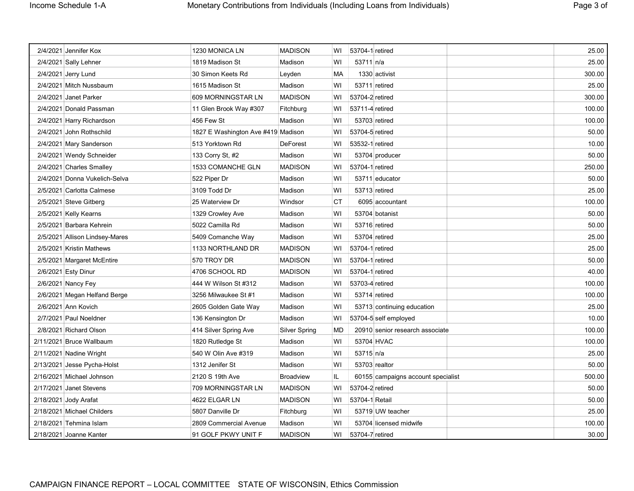| 2/4/2021 Jennifer Kox          | 1230 MONICA LN                     | <b>MADISON</b>   | WI        | 53704-1 retired |                                    | 25.00  |
|--------------------------------|------------------------------------|------------------|-----------|-----------------|------------------------------------|--------|
| 2/4/2021 Sally Lehner          | 1819 Madison St                    | Madison          | WI        | 53711 n/a       |                                    | 25.00  |
| 2/4/2021 Jerry Lund            | 30 Simon Keets Rd                  | Leyden           | MA        |                 | 1330 activist                      | 300.00 |
| 2/4/2021 Mitch Nussbaum        | 1615 Madison St                    | Madison          | WI        |                 | 53711 retired                      | 25.00  |
| 2/4/2021 Janet Parker          | 609 MORNINGSTAR LN                 | <b>MADISON</b>   | WI        | 53704-2 retired |                                    | 300.00 |
| 2/4/2021 Donald Passman        | 11 Glen Brook Way #307             | Fitchburg        | WI        | 53711-4 retired |                                    | 100.00 |
| 2/4/2021 Harry Richardson      | 456 Few St                         | Madison          | WI        |                 | 53703 retired                      | 100.00 |
| 2/4/2021 John Rothschild       | 1827 E Washington Ave #419 Madison |                  | WI        | 53704-5 retired |                                    | 50.00  |
| 2/4/2021 Mary Sanderson        | 513 Yorktown Rd                    | <b>DeForest</b>  | WI        | 53532-1 retired |                                    | 10.00  |
| 2/4/2021 Wendy Schneider       | 133 Corry St, #2                   | Madison          | WI        |                 | 53704 producer                     | 50.00  |
| 2/4/2021 Charles Smalley       | 1533 COMANCHE GLN                  | <b>MADISON</b>   | WI        | 53704-1 retired |                                    | 250.00 |
| 2/4/2021 Donna Vukelich-Selva  | 522 Piper Dr                       | Madison          | WI        |                 | 53711 educator                     | 50.00  |
| 2/5/2021 Carlotta Calmese      | 3109 Todd Dr                       | Madison          | WI        |                 | 53713 retired                      | 25.00  |
| 2/5/2021 Steve Gitberg         | 25 Waterview Dr                    | Windsor          | <b>CT</b> |                 | 6095 accountant                    | 100.00 |
| 2/5/2021 Kelly Kearns          | 1329 Crowley Ave                   | Madison          | WI        |                 | 53704 botanist                     | 50.00  |
| 2/5/2021 Barbara Kehrein       | 5022 Camilla Rd                    | Madison          | WI        |                 | 53716 retired                      | 50.00  |
| 2/5/2021 Allison Lindsey-Mares | 5409 Comanche Way                  | Madison          | WI        |                 | 53704 retired                      | 25.00  |
| 2/5/2021 Kristin Mathews       | 1133 NORTHLAND DR                  | <b>MADISON</b>   | WI        | 53704-1 retired |                                    | 25.00  |
| 2/5/2021 Margaret McEntire     | 570 TROY DR                        | <b>MADISON</b>   | WI        | 53704-1 retired |                                    | 50.00  |
| 2/6/2021 Esty Dinur            | 4706 SCHOOL RD                     | <b>MADISON</b>   | w١        | 53704-1 retired |                                    | 40.00  |
| 2/6/2021 Nancy Fey             | 444 W Wilson St #312               | Madison          | WI        | 53703-4 retired |                                    | 100.00 |
| 2/6/2021 Megan Helfand Berge   | 3256 Milwaukee St #1               | Madison          | WI        |                 | 53714 retired                      | 100.00 |
| 2/6/2021 Ann Kovich            | 2605 Golden Gate Way               | Madison          | WI        |                 | 53713 continuing education         | 25.00  |
| 2/7/2021 Paul Noeldner         | 136 Kensington Dr                  | Madison          | WI        |                 | 53704-5 self employed              | 10.00  |
| 2/8/2021 Richard Olson         | 414 Silver Spring Ave              | Silver Spring    | MD        |                 | 20910 senior research associate    | 100.00 |
| 2/11/2021 Bruce Wallbaum       | 1820 Rutledge St                   | Madison          | WI        |                 | 53704 HVAC                         | 100.00 |
| 2/11/2021 Nadine Wright        | 540 W Olin Ave #319                | Madison          | WI        | 53715 n/a       |                                    | 25.00  |
| 2/13/2021 Jesse Pycha-Holst    | 1312 Jenifer St                    | Madison          | WI        |                 | 53703 realtor                      | 50.00  |
| 2/16/2021 Michael Johnson      | 2120 S 19th Ave                    | <b>Broadview</b> | IL        |                 | 60155 campaigns account specialist | 500.00 |
| 2/17/2021 Janet Stevens        | 709 MORNINGSTAR LN                 | <b>MADISON</b>   | WI        | 53704-2 retired |                                    | 50.00  |
| 2/18/2021 Jody Arafat          | 4622 ELGAR LN                      | <b>MADISON</b>   | WI        | 53704-1 Retail  |                                    | 50.00  |
| 2/18/2021 Michael Childers     | 5807 Danville Dr                   | Fitchburg        | WI        |                 | 53719 UW teacher                   | 25.00  |
| 2/18/2021 Tehmina Islam        | 2809 Commercial Avenue             | Madison          | WI        |                 | 53704 licensed midwife             | 100.00 |
| 2/18/2021 Joanne Kanter        | 91 GOLF PKWY UNIT F                | <b>MADISON</b>   | W١        | 53704-7 retired |                                    | 30.00  |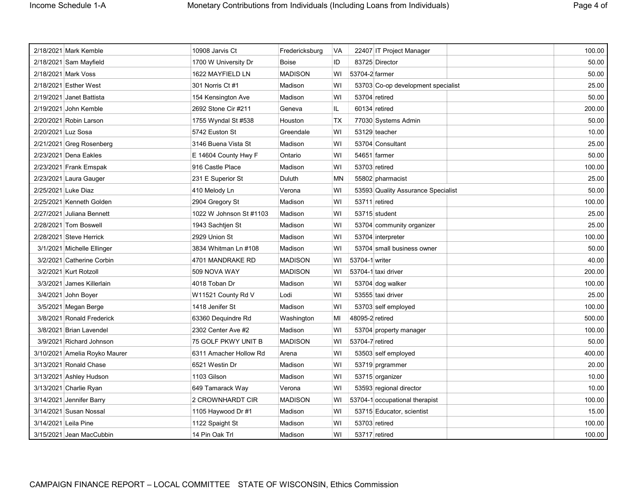| 2/18/2021 Mark Kemble         | 10908 Jarvis Ct         | Fredericksburg | VA        | 22407 IT Project Manager           | 100.00 |
|-------------------------------|-------------------------|----------------|-----------|------------------------------------|--------|
| 2/18/2021 Sam Mayfield        | 1700 W University Dr    | <b>Boise</b>   | ID        | 83725 Director                     | 50.00  |
| 2/18/2021 Mark Voss           | 1622 MAYFIELD LN        | <b>MADISON</b> | WI        | 53704-2 farmer                     | 50.00  |
| 2/18/2021 Esther West         | 301 Norris Ct #1        | Madison        | WI        | 53703 Co-op development specialist | 25.00  |
| 2/19/2021 Janet Battista      | 154 Kensington Ave      | Madison        | WI        | 53704 retired                      | 50.00  |
| 2/19/2021 John Kemble         | 2692 Stone Cir #211     | Geneva         | IL        | 60134 retired                      | 200.00 |
| 2/20/2021 Robin Larson        | 1755 Wyndal St #538     | Houston        | <b>TX</b> | 77030 Systems Admin                | 50.00  |
| 2/20/2021 Luz Sosa            | 5742 Euston St          | Greendale      | WI        | 53129 teacher                      | 10.00  |
| 2/21/2021 Greg Rosenberg      | 3146 Buena Vista St     | Madison        | WI        | 53704 Consultant                   | 25.00  |
| 2/23/2021 Dena Eakles         | E 14604 County Hwy F    | Ontario        | WI        | 54651 farmer                       | 50.00  |
| 2/23/2021 Frank Emspak        | 916 Castle Place        | Madison        | WI        | 53703 retired                      | 100.00 |
| 2/23/2021 Laura Gauger        | 231 E Superior St       | Duluth         | MN        | 55802 pharmacist                   | 25.00  |
| 2/25/2021 Luke Diaz           | 410 Melody Ln           | Verona         | WI        | 53593 Quality Assurance Specialist | 50.00  |
| 2/25/2021 Kenneth Golden      | 2904 Gregory St         | Madison        | WI        | 53711 retired                      | 100.00 |
| 2/27/2021 Juliana Bennett     | 1022 W Johnson St #1103 | Madison        | WI        | 53715 student                      | 25.00  |
| 2/28/2021 Tom Boswell         | 1943 Sachtjen St        | Madison        | WI        | 53704 community organizer          | 25.00  |
| 2/28/2021 Steve Herrick       | 2929 Union St           | Madison        | WI        | 53704 interpreter                  | 100.00 |
| 3/1/2021 Michelle Ellinger    | 3834 Whitman Ln #108    | Madison        | WI        | 53704 small business owner         | 50.00  |
| 3/2/2021 Catherine Corbin     | 4701 MANDRAKE RD        | <b>MADISON</b> | WI        | 53704-1 writer                     | 40.00  |
| 3/2/2021 Kurt Rotzoll         | 509 NOVA WAY            | <b>MADISON</b> | WI        | 53704-1 taxi driver                | 200.00 |
| 3/3/2021 James Killerlain     | 4018 Toban Dr           | Madison        | WI        | 53704 dog walker                   | 100.00 |
| 3/4/2021 John Boyer           | W11521 County Rd V      | Lodi           | WI        | 53555 taxi driver                  | 25.00  |
| 3/5/2021 Megan Berge          | 1418 Jenifer St         | Madison        | WI        | 53703 self employed                | 100.00 |
| 3/8/2021 Ronald Frederick     | 63360 Dequindre Rd      | Washington     | MI        | 48095-2 retired                    | 500.00 |
| 3/8/2021 Brian Lavendel       | 2302 Center Ave #2      | Madison        | WI        | 53704 property manager             | 100.00 |
| 3/9/2021 Richard Johnson      | 75 GOLF PKWY UNIT B     | <b>MADISON</b> | WI        | 53704-7 retired                    | 50.00  |
| 3/10/2021 Amelia Royko Maurer | 6311 Amacher Hollow Rd  | Arena          | WI        | 53503 self employed                | 400.00 |
| 3/13/2021 Ronald Chase        | 6521 Westin Dr          | Madison        | WI        | 53719 prgrammer                    | 20.00  |
| 3/13/2021 Ashley Hudson       | 1103 Gilson             | Madison        | WI        | 53715 organizer                    | 10.00  |
| 3/13/2021 Charlie Ryan        | 649 Tamarack Way        | Verona         | WI        | 53593 regional director            | 10.00  |
| 3/14/2021 Jennifer Barry      | 2 CROWNHARDT CIR        | <b>MADISON</b> | WI        | 53704-1 occupational therapist     | 100.00 |
| 3/14/2021 Susan Nossal        | 1105 Haywood Dr #1      | Madison        | WI        | 53715 Educator, scientist          | 15.00  |
| 3/14/2021 Leila Pine          | 1122 Spaight St         | Madison        | WI        | 53703 retired                      | 100.00 |
| 3/15/2021 Jean MacCubbin      | 14 Pin Oak Trl          | Madison        | WI        | 53717 retired                      | 100.00 |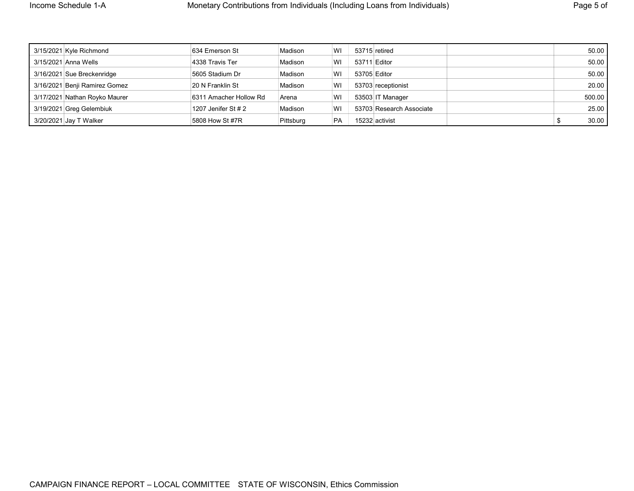| 3/15/2021 Kyle Richmond       | 634 Emerson St         | Madison   | WI        |              | 53715 retired            | 50.00  |
|-------------------------------|------------------------|-----------|-----------|--------------|--------------------------|--------|
| 3/15/2021 Anna Wells          | 4338 Travis Ter        | Madison   | WI        | 53711 Editor |                          | 50.00  |
| 3/16/2021 Sue Breckenridge    | 5605 Stadium Dr        | Madison   | WI        | 53705 Editor |                          | 50.00  |
| 3/16/2021 Benji Ramirez Gomez | 20 N Franklin St       | Madison   | WI        |              | 53703 receptionist       | 20.00  |
| 3/17/2021 Nathan Royko Maurer | 6311 Amacher Hollow Rd | Arena     | WI        |              | 53503 IT Manager         | 500.00 |
| 3/19/2021 Greg Gelembiuk      | 1207 Jenifer St # 2    | Madison   | WI        |              | 53703 Research Associate | 25.00  |
| 3/20/2021 Jay T Walker        | 5808 How St #7R        | Pittsburg | <b>PA</b> |              | 15232 activist           | 30.00  |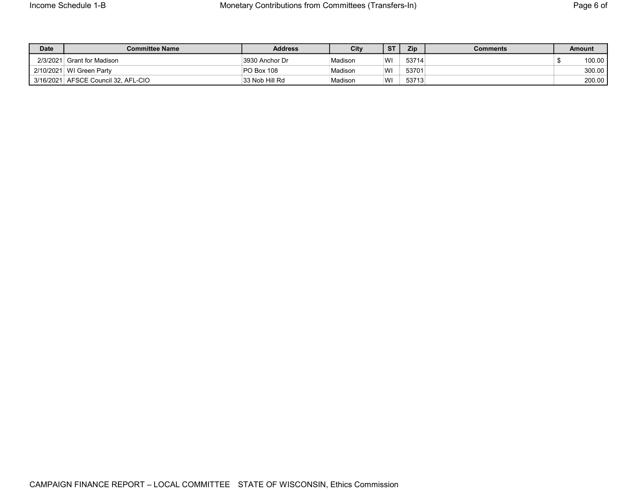| <b>Date</b> | <b>Committee Name</b>          | <b>Address</b> | City    | $\sqrt{ST}$ | Zip   | Comments | <b>Amount</b> |
|-------------|--------------------------------|----------------|---------|-------------|-------|----------|---------------|
| 2/3/2021    | <sup>⊥</sup> Grant for Madison | 3930 Anchor Dr | Madison | WI          | 53714 |          | 100.00        |
|             | 2/10/2021 WI Green Party       | PO Box 108     | Madison | WI          | 53701 |          | 300.00        |
| 3/16/2021   | AFSCE Council 32, AFL-CIO      | 33 Nob Hill Rd | Madison | WI          | 53713 |          | 200.00        |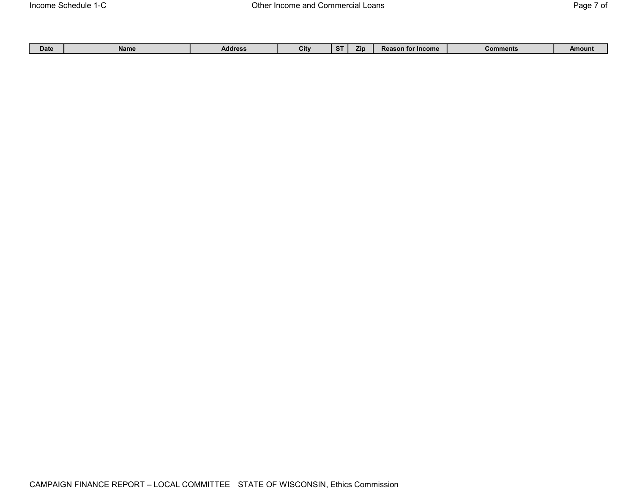|  | Date | Name | Address | City | . .<br>$\mathbf{L}$ | Zın | $-$ Income<br>$\sim$<br>- Reason for " | <b>Comments</b> | Amount |
|--|------|------|---------|------|---------------------|-----|----------------------------------------|-----------------|--------|
|--|------|------|---------|------|---------------------|-----|----------------------------------------|-----------------|--------|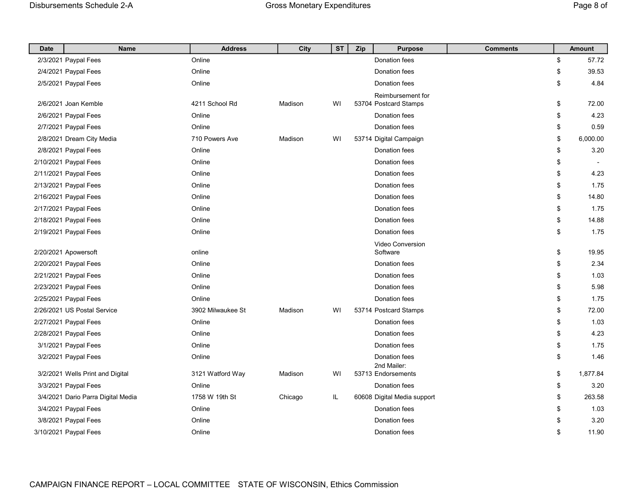| <b>Date</b> | <b>Name</b>                        | <b>Address</b>    | City    | <b>ST</b> | Zip | <b>Purpose</b>               | <b>Comments</b> | <b>Amount</b>                  |
|-------------|------------------------------------|-------------------|---------|-----------|-----|------------------------------|-----------------|--------------------------------|
|             | 2/3/2021 Paypal Fees               | Online            |         |           |     | Donation fees                |                 | \$<br>57.72                    |
|             | 2/4/2021 Paypal Fees               | Online            |         |           |     | Donation fees                |                 | \$<br>39.53                    |
|             | 2/5/2021 Paypal Fees               | Online            |         |           |     | Donation fees                |                 | \$<br>4.84                     |
|             |                                    |                   |         |           |     | Reimbursement for            |                 |                                |
|             | 2/6/2021 Joan Kemble               | 4211 School Rd    | Madison | WI        |     | 53704 Postcard Stamps        |                 | \$<br>72.00                    |
|             | 2/6/2021 Paypal Fees               | Online            |         |           |     | Donation fees                |                 | \$<br>4.23                     |
|             | 2/7/2021 Paypal Fees               | Online            |         |           |     | <b>Donation fees</b>         |                 | \$<br>0.59                     |
|             | 2/8/2021 Dream City Media          | 710 Powers Ave    | Madison | WI        |     | 53714 Digital Campaign       |                 | \$<br>6,000.00                 |
|             | 2/8/2021 Paypal Fees               | Online            |         |           |     | Donation fees                |                 | \$<br>3.20                     |
|             | 2/10/2021 Paypal Fees              | Online            |         |           |     | Donation fees                |                 | \$<br>$\overline{\phantom{a}}$ |
|             | 2/11/2021 Paypal Fees              | Online            |         |           |     | Donation fees                |                 | \$<br>4.23                     |
|             | 2/13/2021 Paypal Fees              | Online            |         |           |     | Donation fees                |                 | \$<br>1.75                     |
|             | 2/16/2021 Paypal Fees              | Online            |         |           |     | Donation fees                |                 | \$<br>14.80                    |
|             | 2/17/2021 Paypal Fees              | Online            |         |           |     | Donation fees                |                 | \$<br>1.75                     |
|             | 2/18/2021 Paypal Fees              | Online            |         |           |     | Donation fees                |                 | \$<br>14.88                    |
|             | 2/19/2021 Paypal Fees              | Online            |         |           |     | Donation fees                |                 | \$<br>1.75                     |
|             |                                    |                   |         |           |     | Video Conversion             |                 |                                |
|             | 2/20/2021 Apowersoft               | online            |         |           |     | Software                     |                 | \$<br>19.95                    |
|             | 2/20/2021 Paypal Fees              | Online            |         |           |     | Donation fees                |                 | \$<br>2.34                     |
|             | 2/21/2021 Paypal Fees              | Online            |         |           |     | Donation fees                |                 | \$<br>1.03                     |
|             | 2/23/2021 Paypal Fees              | Online            |         |           |     | Donation fees                |                 | \$<br>5.98                     |
|             | 2/25/2021 Paypal Fees              | Online            |         |           |     | Donation fees                |                 | \$<br>1.75                     |
|             | 2/26/2021 US Postal Service        | 3902 Milwaukee St | Madison | WI        |     | 53714 Postcard Stamps        |                 | \$<br>72.00                    |
|             | 2/27/2021 Paypal Fees              | Online            |         |           |     | Donation fees                |                 | \$<br>1.03                     |
|             | 2/28/2021 Paypal Fees              | Online            |         |           |     | Donation fees                |                 | \$<br>4.23                     |
|             | 3/1/2021 Paypal Fees               | Online            |         |           |     | Donation fees                |                 | \$<br>1.75                     |
|             | 3/2/2021 Paypal Fees               | Online            |         |           |     | Donation fees<br>2nd Mailer: |                 | \$<br>1.46                     |
|             | 3/2/2021 Wells Print and Digital   | 3121 Watford Way  | Madison | WI        |     | 53713 Endorsements           |                 | \$<br>1,877.84                 |
|             | 3/3/2021 Paypal Fees               | Online            |         |           |     | Donation fees                |                 | \$<br>3.20                     |
|             | 3/4/2021 Dario Parra Digital Media | 1758 W 19th St    | Chicago | IL        |     | 60608 Digital Media support  |                 | \$<br>263.58                   |
|             | 3/4/2021 Paypal Fees               | Online            |         |           |     | Donation fees                |                 | \$<br>1.03                     |
|             | 3/8/2021 Paypal Fees               | Online            |         |           |     | Donation fees                |                 | \$<br>3.20                     |
|             | 3/10/2021 Paypal Fees              | Online            |         |           |     | Donation fees                |                 | \$<br>11.90                    |
|             |                                    |                   |         |           |     |                              |                 |                                |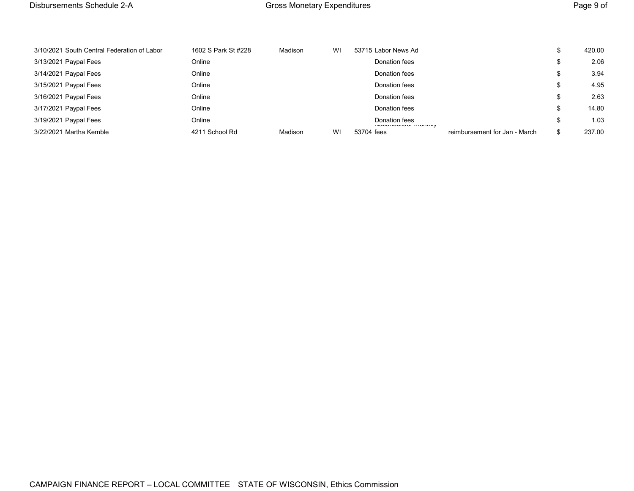| 3/10/2021 South Central Federation of Labor | 1602 S Park St #228 | Madison | WI | 53715 Labor News Ad                            |                               |    | 420.00 |
|---------------------------------------------|---------------------|---------|----|------------------------------------------------|-------------------------------|----|--------|
| 3/13/2021 Paypal Fees                       | Online              |         |    | Donation fees                                  |                               |    | 2.06   |
| 3/14/2021 Paypal Fees                       | Online              |         |    | Donation fees                                  |                               |    | 3.94   |
| 3/15/2021 Paypal Fees                       | Online              |         |    | Donation fees                                  |                               |    | 4.95   |
| 3/16/2021 Paypal Fees                       | Online              |         |    | Donation fees                                  |                               |    | 2.63   |
| 3/17/2021 Paypal Fees                       | Online              |         |    | Donation fees                                  |                               | ъ  | 14.80  |
| 3/19/2021 Paypal Fees                       | Online              |         |    | Donation fees<br>i materialan itu ya materiala |                               |    | 1.03   |
| 3/22/2021 Martha Kemble                     | 4211 School Rd      | Madison | WI | 53704 fees                                     | reimbursement for Jan - March | \$ | 237.00 |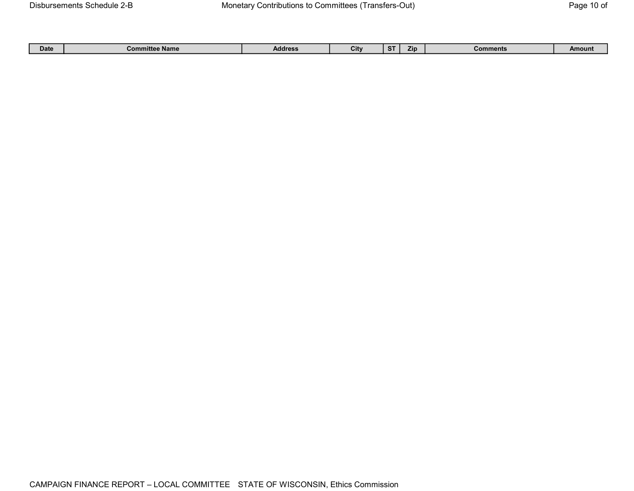|  | Date | <b>Committee Name</b> | <b>Address</b> | City |  | Zın | Comments | Amount |
|--|------|-----------------------|----------------|------|--|-----|----------|--------|
|--|------|-----------------------|----------------|------|--|-----|----------|--------|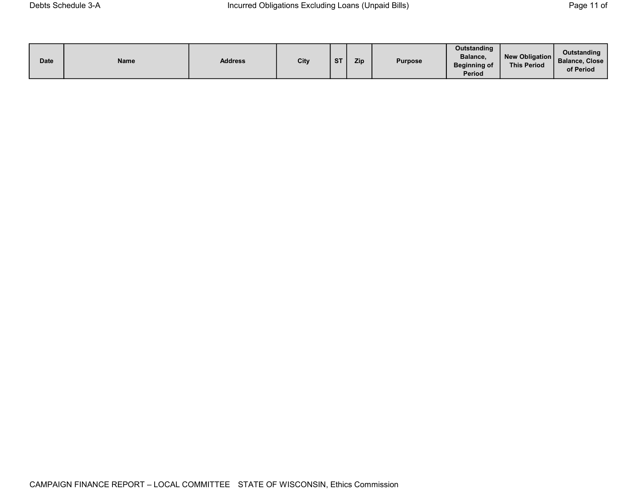| <b>Date</b> | Name | <b>Address</b> | City | <b>ST</b> | Zip | <b>Purpose</b> | Outstanding<br>Balance,<br><b>Beginning of</b><br><b>Period</b> | New Obligation<br><b>This Period</b> | Outstanding<br><b>Balance, Close</b><br>of Period |
|-------------|------|----------------|------|-----------|-----|----------------|-----------------------------------------------------------------|--------------------------------------|---------------------------------------------------|
|-------------|------|----------------|------|-----------|-----|----------------|-----------------------------------------------------------------|--------------------------------------|---------------------------------------------------|